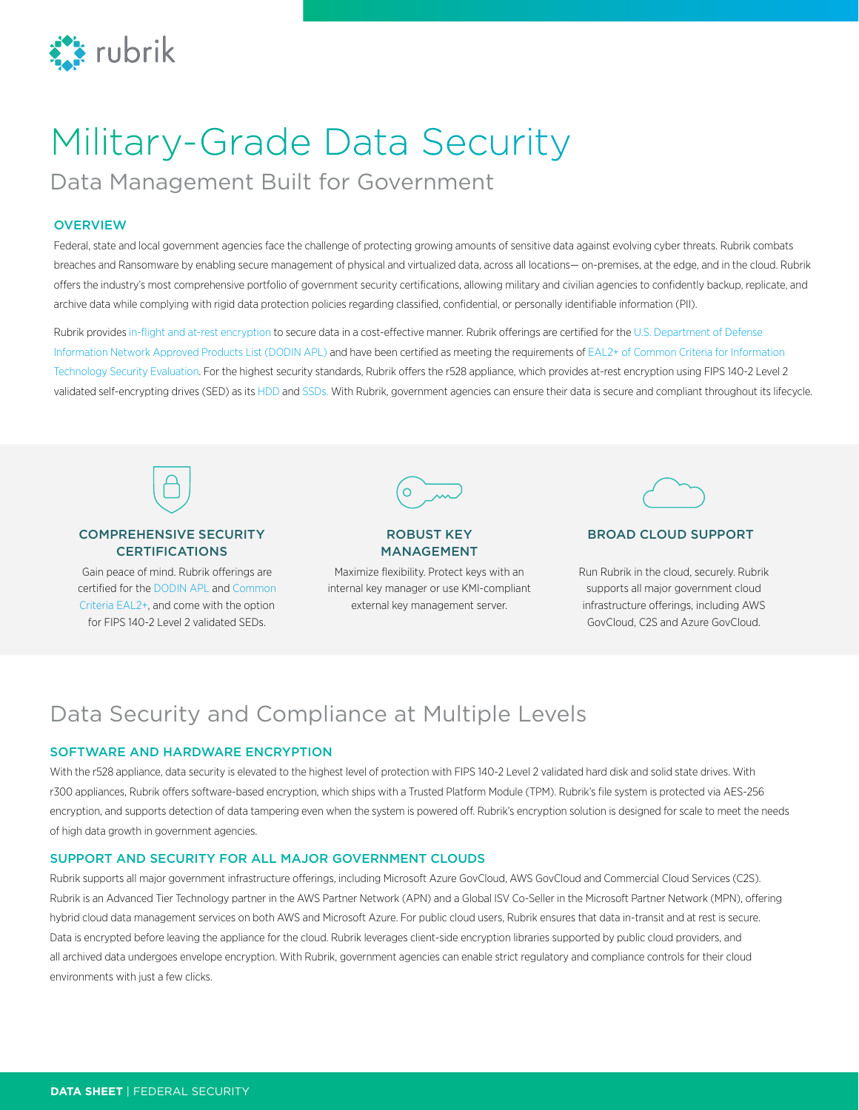

# Military-Grade Data Security

Data Management Built for Government

#### **OVERVIEW**

Federal, state and local government agencies face the challenge of protecting growing amounts of sensitive data against evolving cyber threats. Rubrik combats breaches and Ransomware by enabling secure management of physical and virtualized data, across all locations— on-premises, at the edge, and in the cloud. Rubrik offers the industry's most comprehensive portfolio of government security certifications, allowing military and civilian agencies to confidently backup, replicate, and archive data while complying with rigid data protection policies regarding classified, confidential, or personally identifiable information (PII).

Rubrik provide[s in-flight and at-rest encryption](https://csrc.nist.gov/projects/cryptographic-module-validation-program/Certificate/2658) to secure data in a cost-effective manner. Rubrik offerings are certified for the [U.S. Department of Defense](https://aplits.disa.mil/processAPList.action)  [Information Network Approved Products List \(DODIN APL\)](https://aplits.disa.mil/processAPList.action) and have been certified as meeting the requirements of EAL2+ of Common Criteria for Information [Technology Security Evaluation.](https://www.commoncriteriaportal.org/products/) For the highest security standards, Rubrik offers the r528 appliance, which provides at-rest encryption using FIPS 140-2 Level 2 validated self-encrypting drives (SED) as its [HDD](https://csrc.nist.gov/csrc/media/projects/cryptographic-module-validation-program/documents/security-policies/140sp2348.pdf) and [SSDs.](https://csrc.nist.gov/csrc/media/projects/cryptographic-module-validation-program/documents/security-policies/140sp2198.pdf) With Rubrik, government agencies can ensure their data is secure and compliant throughout its lifecycle.



#### COMPREHENSIVE SECURITY CERTIFICATIONS

Gain peace of mind. Rubrik offerings are certified for the [DODIN APL](https://aplits.disa.mil/processAPList.action) and [Common](https://www.commoncriteriaportal.org/products/)  [Criteria EAL2+](https://www.commoncriteriaportal.org/products/), and come with the option for FIPS 140-2 Level 2 validated SEDs.



## MANAGEMENT

Maximize flexibility. Protect keys with an internal key manager or use KMI-compliant external key management server.



#### ROBUST KEY BROAD CLOUD SUPPORT

Run Rubrik in the cloud, securely. Rubrik supports all major government cloud infrastructure offerings, including AWS GovCloud, C2S and Azure GovCloud.

### Data Security and Compliance at Multiple Levels

#### SOFTWARE AND HARDWARE ENCRYPTION

With the r528 appliance, data security is elevated to the highest level of protection with FIPS 140-2 Level 2 validated hard disk and solid state drives. With r300 appliances, Rubrik offers software-based encryption, which ships with a Trusted Platform Module (TPM). Rubrik's file system is protected via AES-256 encryption, and supports detection of data tampering even when the system is powered off. Rubrik's encryption solution is designed for scale to meet the needs of high data growth in government agencies.

#### SUPPORT AND SECURITY FOR ALL MAJOR GOVERNMENT CLOUDS

Rubrik supports all major government infrastructure offerings, including Microsoft Azure GovCloud, AWS GovCloud and Commercial Cloud Services (C2S). Rubrik is an Advanced Tier Technology partner in the AWS Partner Network (APN) and a Global ISV Co-Seller in the Microsoft Partner Network (MPN), offering hybrid cloud data management services on both AWS and Microsoft Azure. For public cloud users, Rubrik ensures that data in-transit and at rest is secure. Data is encrypted before leaving the appliance for the cloud. Rubrik leverages client-side encryption libraries supported by public cloud providers, and all archived data undergoes envelope encryption. With Rubrik, government agencies can enable strict regulatory and compliance controls for their cloud environments with just a few clicks.